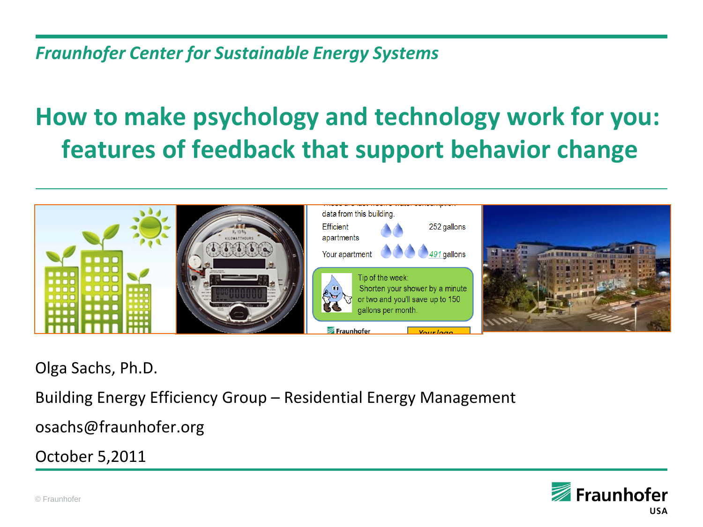#### *Fraunhofer Center for Sustainable Energy Systems*

## **How to make psychology and technology work for you: features of feedback that support behavior change**



Olga Sachs, Ph.D.

Building Energy Efficiency Group – Residential Energy Management

osachs@fraunhofer.org

October 5,2011

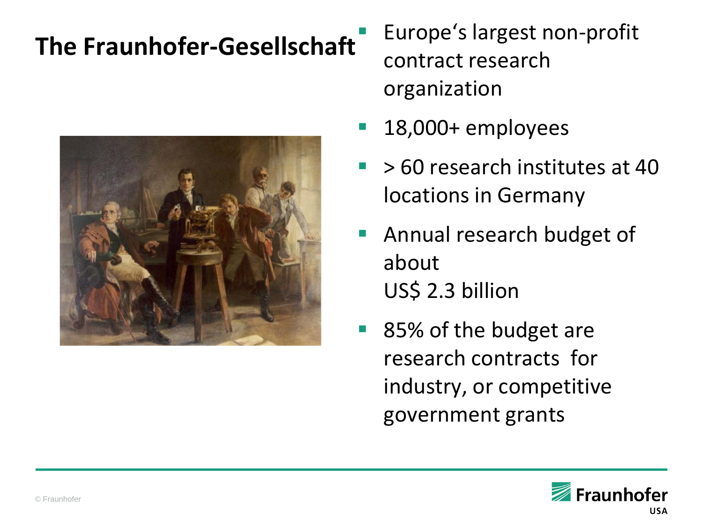## **The Fraunhofer-Gesellschaft**



- Europe's largest non-profit contract research organization
- 18,000+ employees
- $\blacktriangleright$  50 research institutes at 40 locations in Germany
- Annual research budget of about US\$ 2.3 billion
- 85% of the budget are research contracts for industry, or competitive government grants

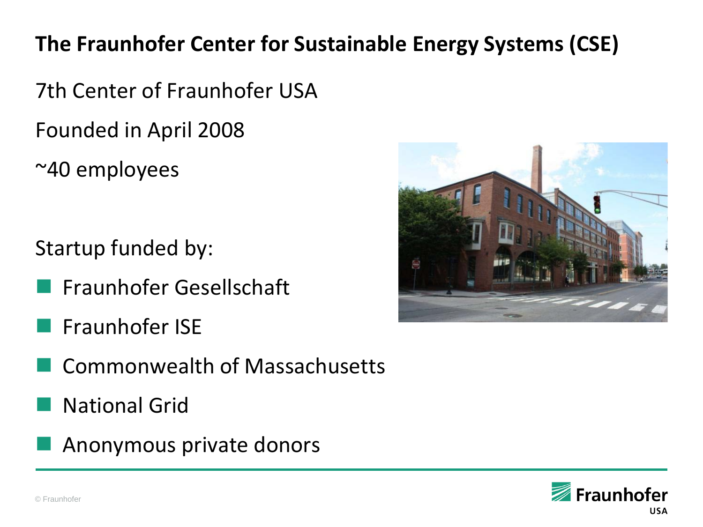#### **The Fraunhofer Center for Sustainable Energy Systems (CSE)**

7th Center of Fraunhofer USA Founded in April 2008

~40 employees

Startup funded by:

- Fraunhofer Gesellschaft
- Fraunhofer ISE
- Commonwealth of Massachusetts
- National Grid
- Anonymous private donors



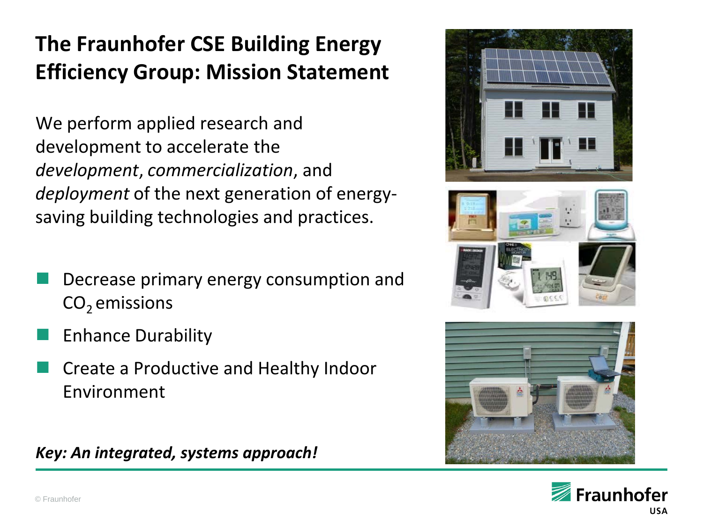#### **The Fraunhofer CSE Building Energy Efficiency Group: Mission Statement**

We perform applied research and development to accelerate the *development*, *commercialization*, and *deployment* of the next generation of energysaving building technologies and practices.

- Decrease primary energy consumption and  $CO<sub>2</sub>$  emissions
- Enhance Durability
- Create a Productive and Healthy Indoor Environment

*Key: An integrated, systems approach!*







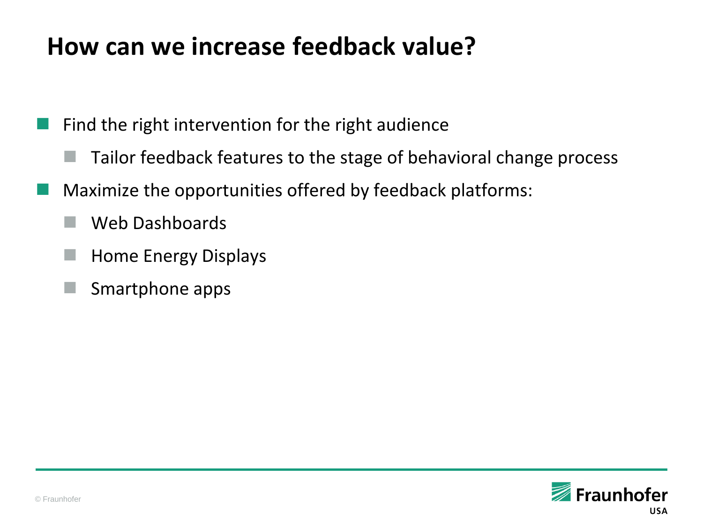#### **How can we increase feedback value?**

Find the right intervention for the right audience

- Tailor feedback features to the stage of behavioral change process
- Maximize the opportunities offered by feedback platforms:
	- Web Dashboards
	- Home Energy Displays
	- Smartphone apps

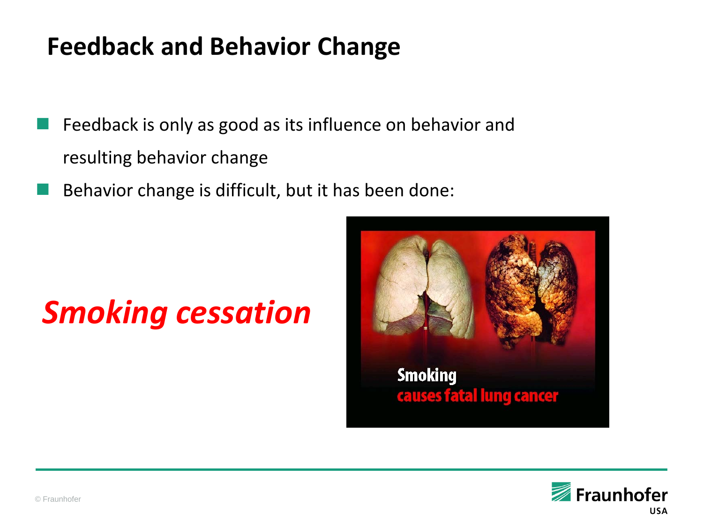### **Feedback and Behavior Change**

- Feedback is only as good as its influence on behavior and resulting behavior change
- Behavior change is difficult, but it has been done:

# *Smoking cessation*



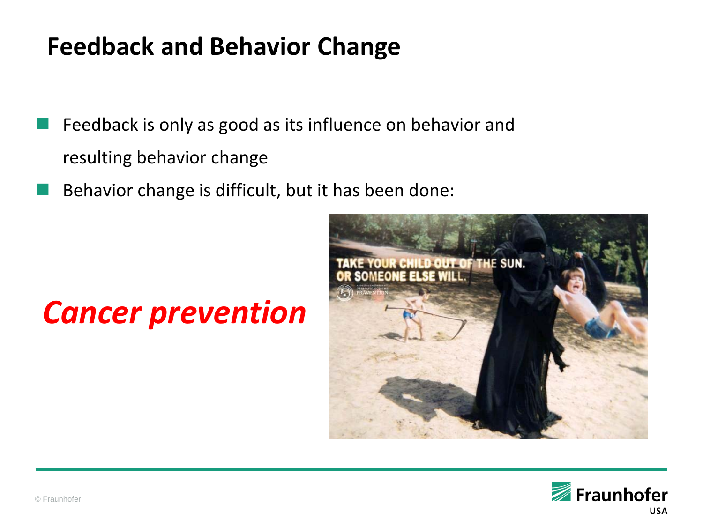### **Feedback and Behavior Change**

- Feedback is only as good as its influence on behavior and resulting behavior change
- Behavior change is difficult, but it has been done:

# *Cancer prevention*



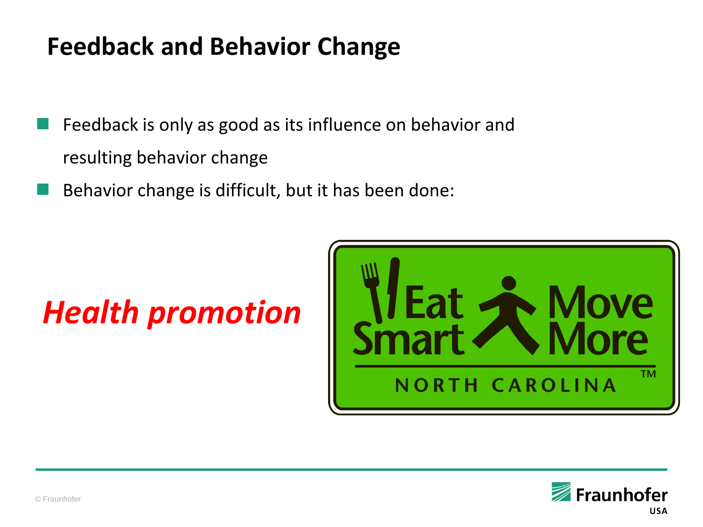### **Feedback and Behavior Change**

- Feedback is only as good as its influence on behavior and resulting behavior change
- Behavior change is difficult, but it has been done:

# *Health promotion*



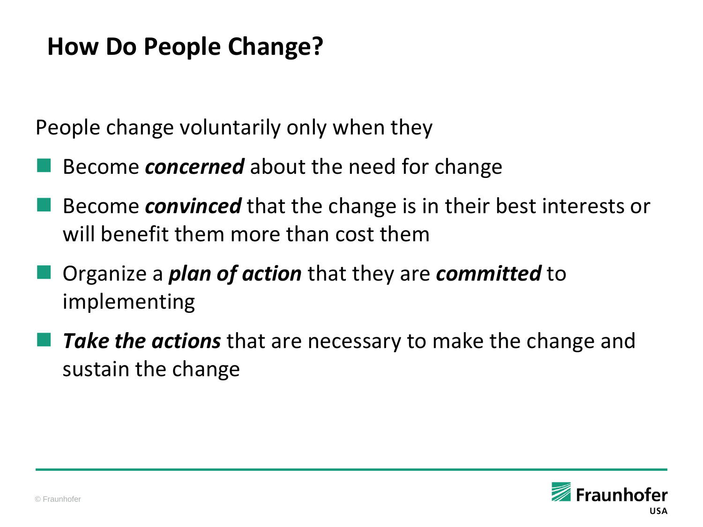#### **How Do People Change?**

People change voluntarily only when they

- Become *concerned* about the need for change
- Become *convinced* that the change is in their best interests or will benefit them more than cost them
- Organize a *plan of action* that they are *committed* to implementing
- *Take the actions* that are necessary to make the change and sustain the change

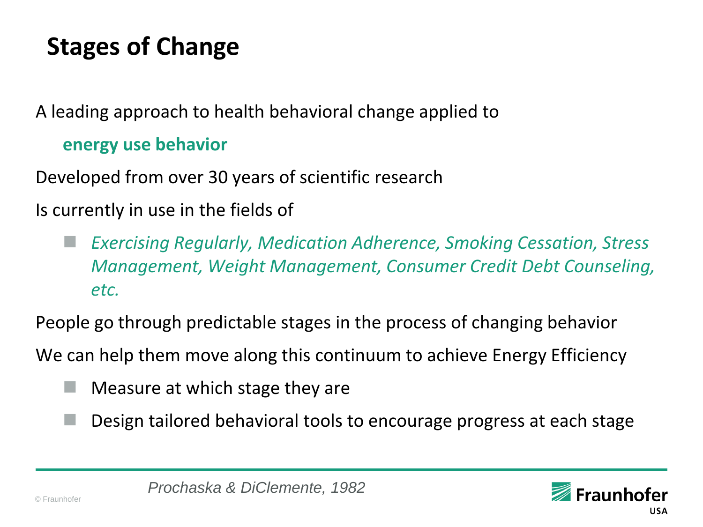## **Stages of Change**

A leading approach to health behavioral change applied to

#### **energy use behavior**

Developed from over 30 years of scientific research

Is currently in use in the fields of

 *Exercising Regularly, Medication Adherence, Smoking Cessation, Stress Management, Weight Management, Consumer Credit Debt Counseling, etc.*

People go through predictable stages in the process of changing behavior

We can help them move along this continuum to achieve Energy Efficiency

- Measure at which stage they are
- Design tailored behavioral tools to encourage progress at each stage

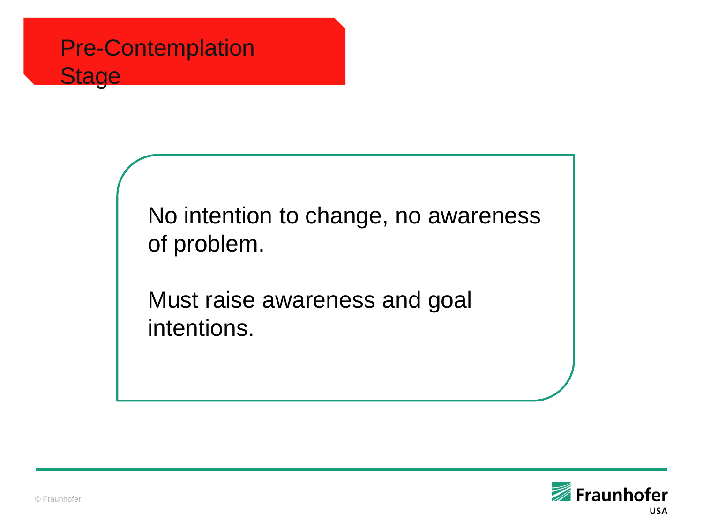

No intention to change, no awareness of problem.

Must raise awareness and goal intentions.

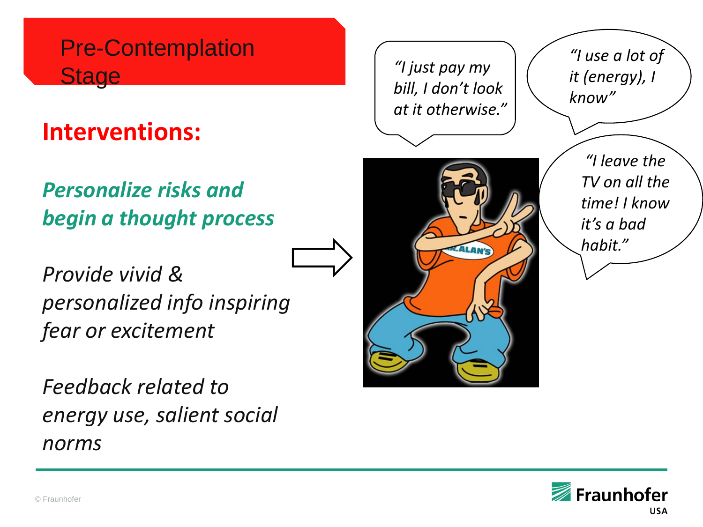#### Pre-Contemplation **Stage**

### **Interventions:**

#### *Personalize risks and begin a thought process*

*Provide vivid & personalized info inspiring fear or excitement*

*Feedback related to energy use, salient social norms*



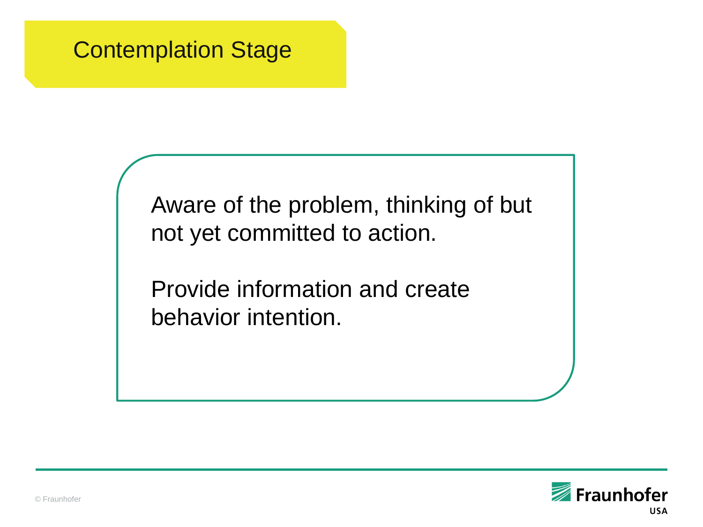#### Contemplation Stage

Aware of the problem, thinking of but not yet committed to action.

Provide information and create behavior intention.

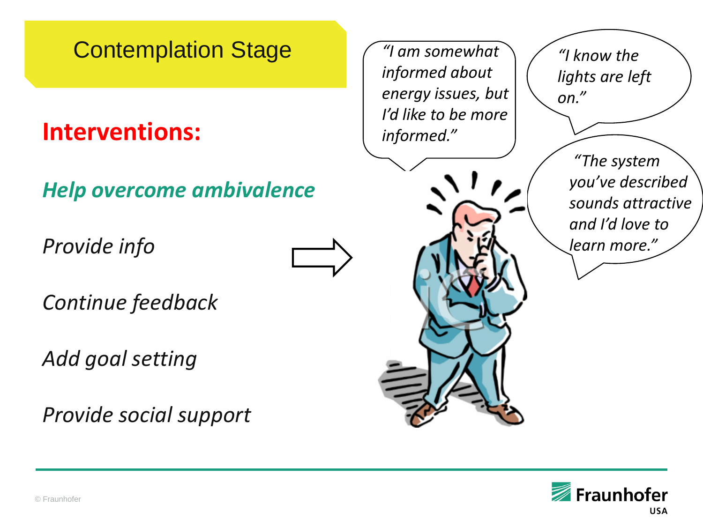#### Contemplation Stage

#### **Interventions:**

*Help overcome ambivalence*

*Provide info*

*Continue feedback*

*Add goal setting*

*Provide social support*



*"I am somewhat informed about energy issues, but I'd like to be more informed."*



*"I know the lights are left on."*

> *"The system you've described sounds attractive and I'd love to learn more."*

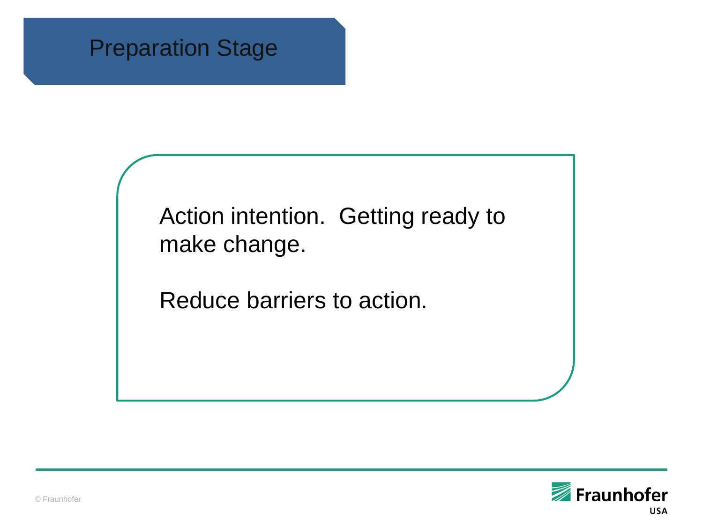#### Preparation Stage

Action intention. Getting ready to make change.

Reduce barriers to action.

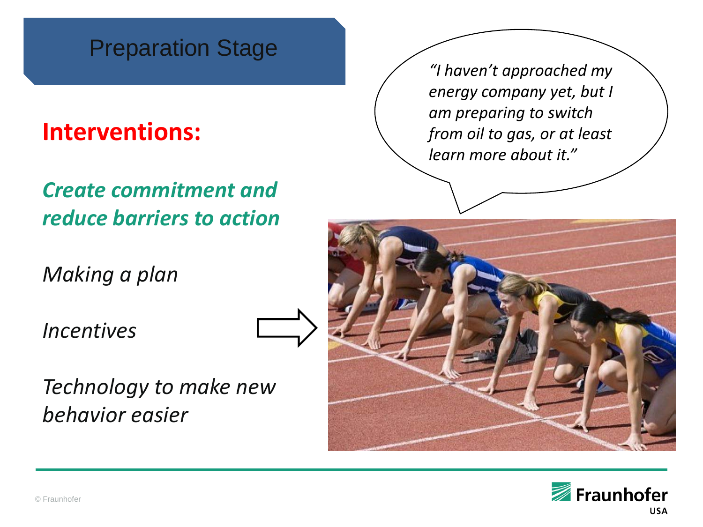#### Preparation Stage

#### **Interventions:**

#### *Create commitment and reduce barriers to action*

*Making a plan*

*Incentives*



*Technology to make new behavior easier*

*"I haven't approached my energy company yet, but I am preparing to switch from oil to gas, or at least learn more about it."*



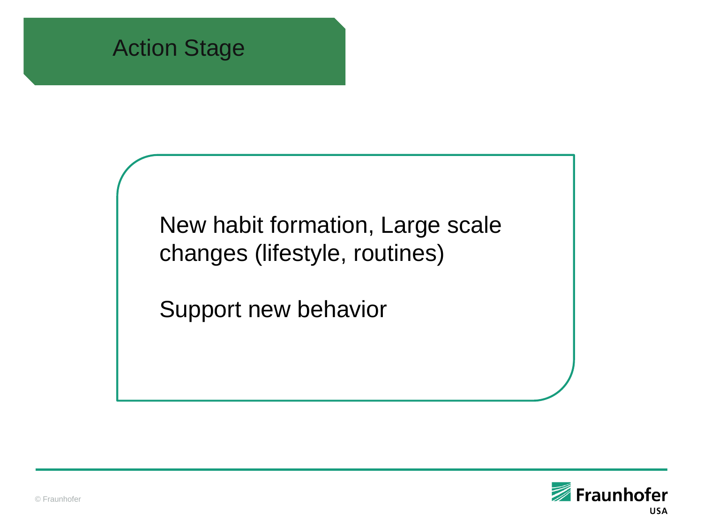

New habit formation, Large scale changes (lifestyle, routines)

Support new behavior

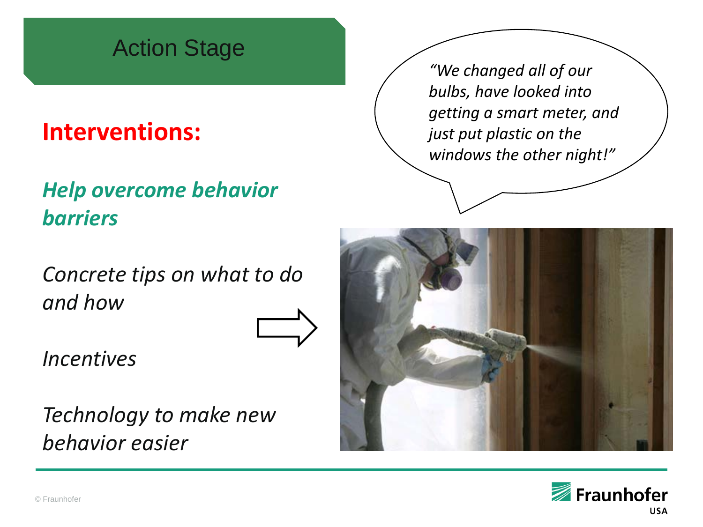#### Action Stage

#### **Interventions:**

#### *Help overcome behavior barriers*

*Concrete tips on what to do and how*



*Incentives*

*Technology to make new behavior easier*

*"We changed all of our bulbs, have looked into getting a smart meter, and just put plastic on the windows the other night!"*



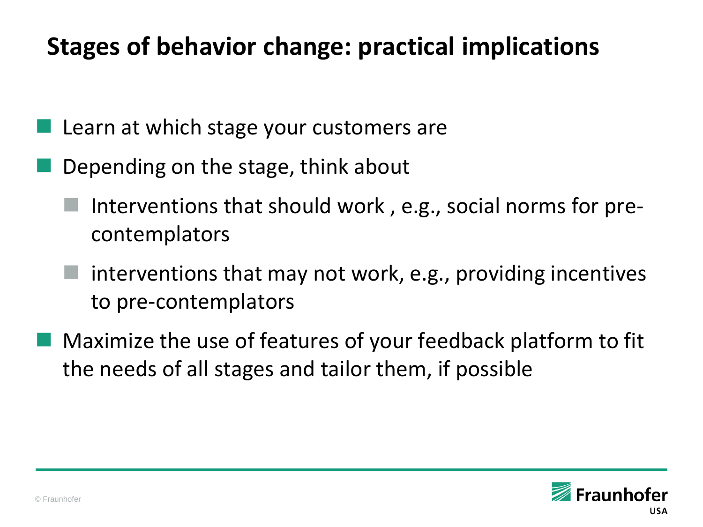### **Stages of behavior change: practical implications**

- Learn at which stage your customers are
- Depending on the stage, think about
	- Interventions that should work , e.g., social norms for precontemplators
	- interventions that may not work, e.g., providing incentives to pre-contemplators
- Maximize the use of features of your feedback platform to fit the needs of all stages and tailor them, if possible

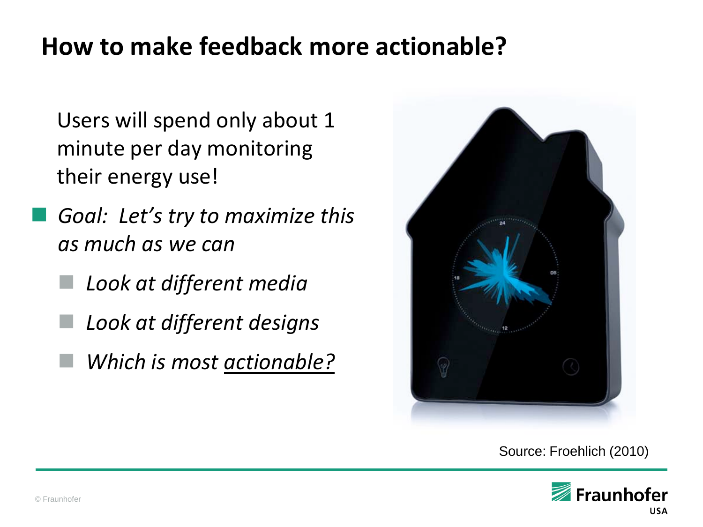#### **How to make feedback more actionable?**

Users will spend only about 1 minute per day monitoring their energy use!

- *Goal: Let's try to maximize this as much as we can*
	- *Look at different media*
	- *Look at different designs*
	- *Which is most actionable?*



Source: Froehlich (2010)

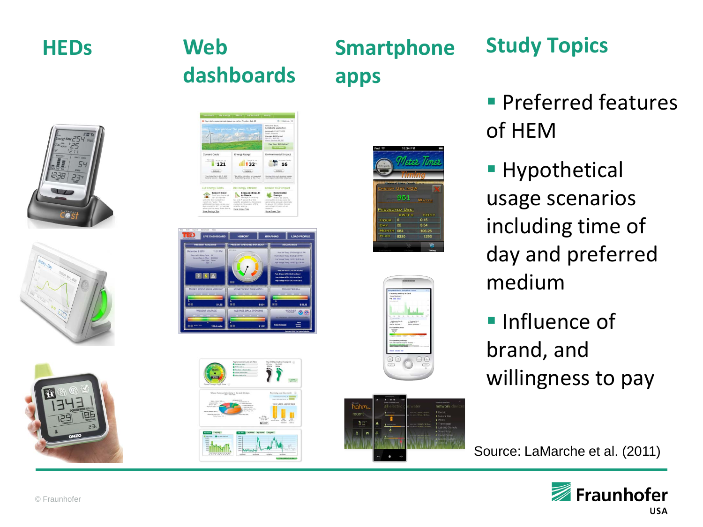

# **dashboards**

**apps**

#### **HEDs** Web Smartphone Study Topics

- **Preferred features** of HEM
- **Hypothetical** usage scenarios including time of day and preferred medium
- **Influence of** brand, and willingness to pay

Source: LaMarche et al. (2011)













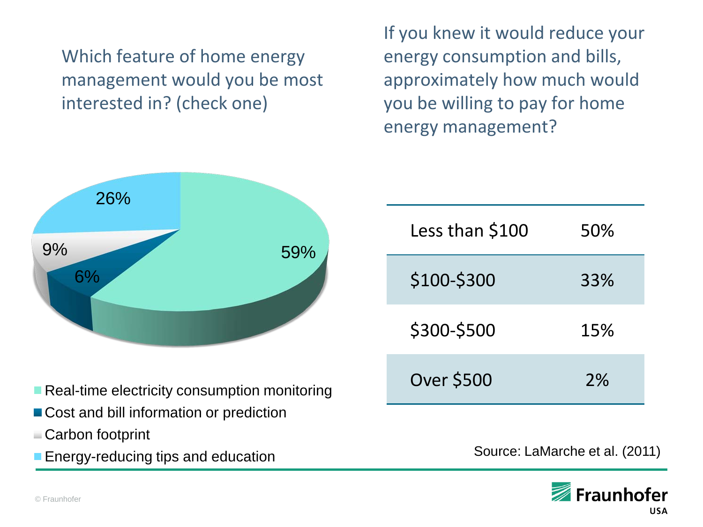Which feature of home energy management would you be most interested in? (check one)

If you knew it would reduce your energy consumption and bills, approximately how much would you be willing to pay for home energy management?



- Real-time electricity consumption monitoring
- Cost and bill information or prediction
- Carbon footprint
- **Energy-reducing tips and education**

| Less than \$100   | 50% |
|-------------------|-----|
| \$100-\$300       | 33% |
| \$300-\$500       | 15% |
| <b>Over \$500</b> | 2%  |

Source: LaMarche et al. (2011)

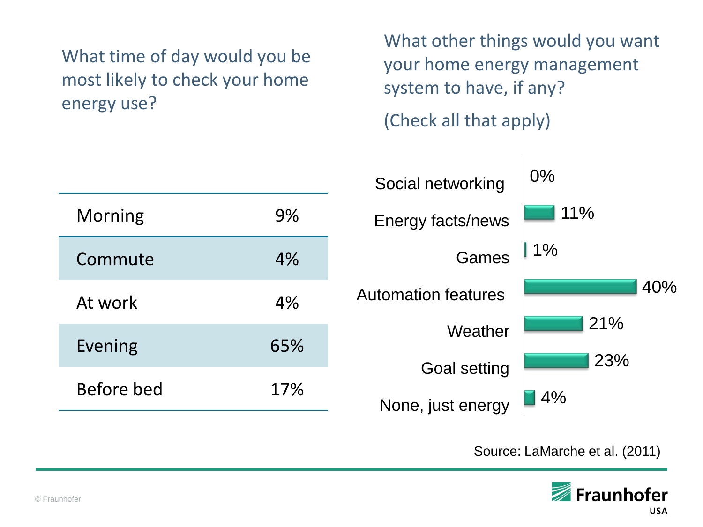#### What time of day would you be most likely to check your home energy use?

What other things would you want your home energy management system to have, if any?

(Check all that apply)

|     | Social networking          | $0\%$             |
|-----|----------------------------|-------------------|
| 9%  | Energy facts/news          | 11%               |
| 4%  | Games                      | $1\%$             |
| 4%  | <b>Automation features</b> | 40%               |
| 65% | Weather                    | 21%<br>23%        |
| 17% | <b>Goal setting</b>        | 4%                |
|     |                            | None, just energy |

Source: LaMarche et al. (2011)

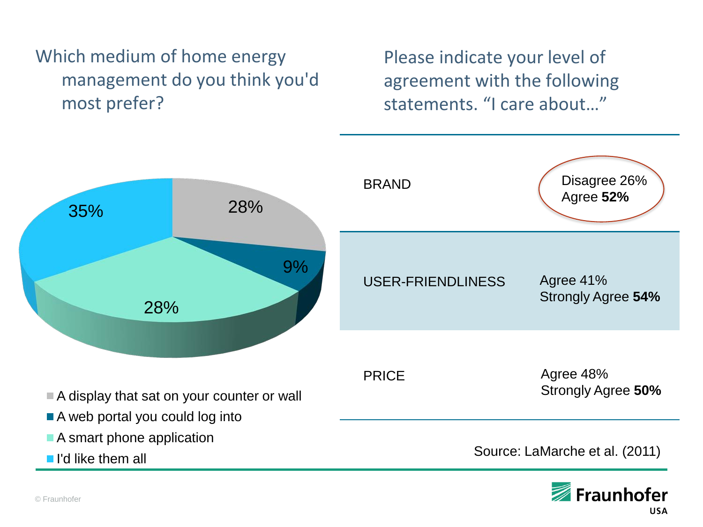#### Which medium of home energy management do you think you'd most prefer?

Please indicate your level of agreement with the following statements. "I care about…"



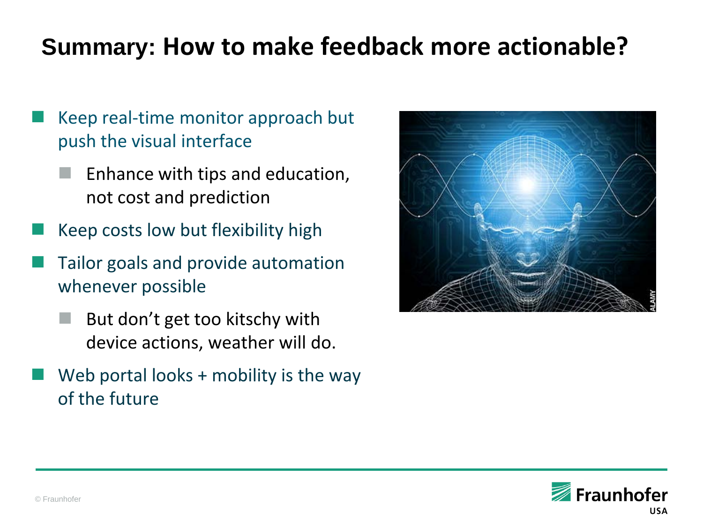## **Summary: How to make feedback more actionable?**

- Keep real-time monitor approach but push the visual interface
	- Enhance with tips and education, not cost and prediction
- Keep costs low but flexibility high
- Tailor goals and provide automation whenever possible
	- But don't get too kitschy with device actions, weather will do.
- Web portal looks + mobility is the way of the future